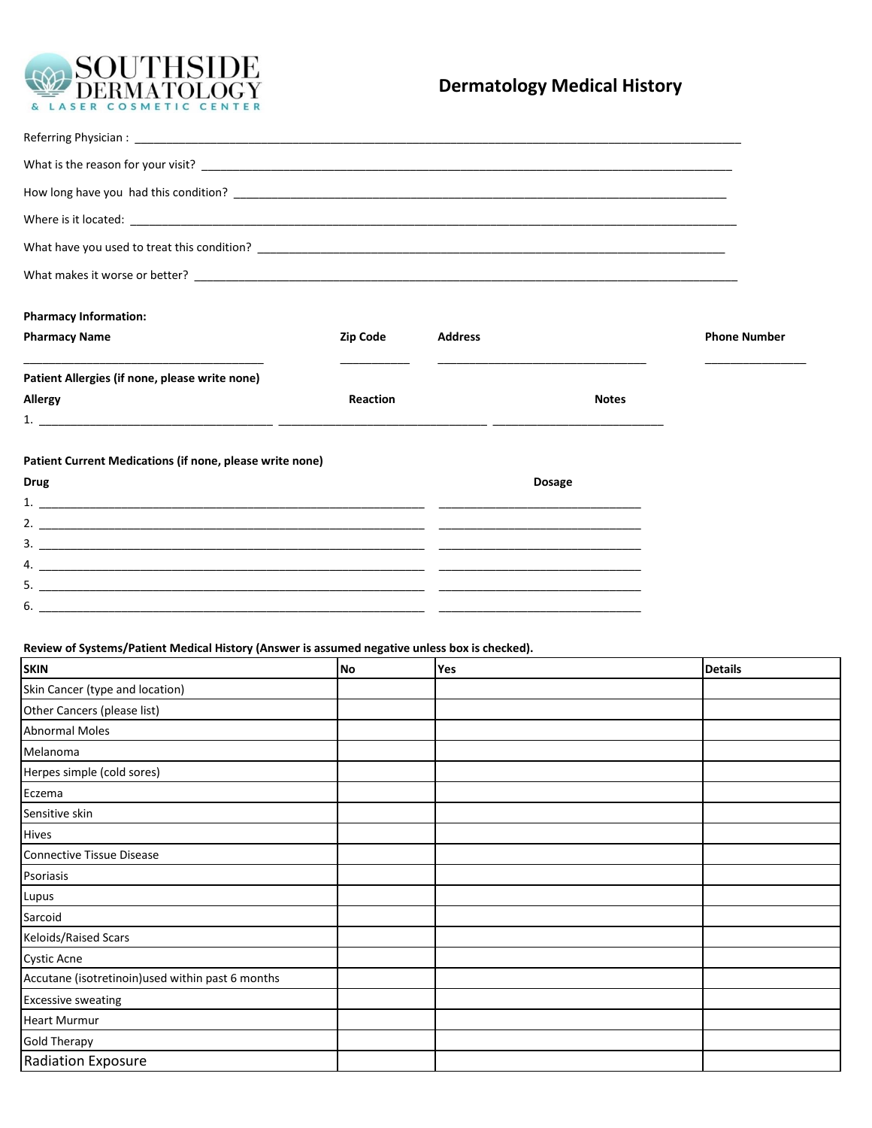

# **Dermatology Medical History**

| <b>Pharmacy Information:</b>                                                                  |           |                |               |                     |  |
|-----------------------------------------------------------------------------------------------|-----------|----------------|---------------|---------------------|--|
| <b>Pharmacy Name</b>                                                                          | Zip Code  | <b>Address</b> |               | <b>Phone Number</b> |  |
| Patient Allergies (if none, please write none)                                                |           |                |               |                     |  |
| Allergy                                                                                       | Reaction  |                | <b>Notes</b>  |                     |  |
|                                                                                               |           |                |               |                     |  |
| Patient Current Medications (if none, please write none)                                      |           |                |               |                     |  |
| Drug                                                                                          |           |                | <b>Dosage</b> |                     |  |
|                                                                                               |           |                |               |                     |  |
|                                                                                               |           |                |               |                     |  |
| $\frac{1}{2}$                                                                                 |           |                |               |                     |  |
|                                                                                               |           |                |               |                     |  |
| 5.                                                                                            |           |                |               |                     |  |
|                                                                                               |           |                |               |                     |  |
| Review of Systems/Patient Medical History (Answer is assumed negative unless box is checked). |           |                |               |                     |  |
| <b>SKIN</b>                                                                                   | <b>No</b> | Yes            |               | <b>Details</b>      |  |
| Skin Cancer (type and location)                                                               |           |                |               |                     |  |
| Other Cancers (please list)                                                                   |           |                |               |                     |  |
| <b>Abnormal Moles</b>                                                                         |           |                |               |                     |  |
| Melanoma                                                                                      |           |                |               |                     |  |
| Herpes simple (cold sores)                                                                    |           |                |               |                     |  |
| Eczema                                                                                        |           |                |               |                     |  |
| Sensitive skin                                                                                |           |                |               |                     |  |
| <b>Hives</b>                                                                                  |           |                |               |                     |  |
| <b>Connective Tissue Disease</b>                                                              |           |                |               |                     |  |

| Connective Tissue Disease                         |  |  |
|---------------------------------------------------|--|--|
| Psoriasis                                         |  |  |
| Lupus                                             |  |  |
| Sarcoid                                           |  |  |
| Keloids/Raised Scars                              |  |  |
| <b>Cystic Acne</b>                                |  |  |
| Accutane (isotretinoin) used within past 6 months |  |  |
| <b>Excessive sweating</b>                         |  |  |
| <b>Heart Murmur</b>                               |  |  |
| <b>Gold Therapy</b>                               |  |  |
| <b>Radiation Exposure</b>                         |  |  |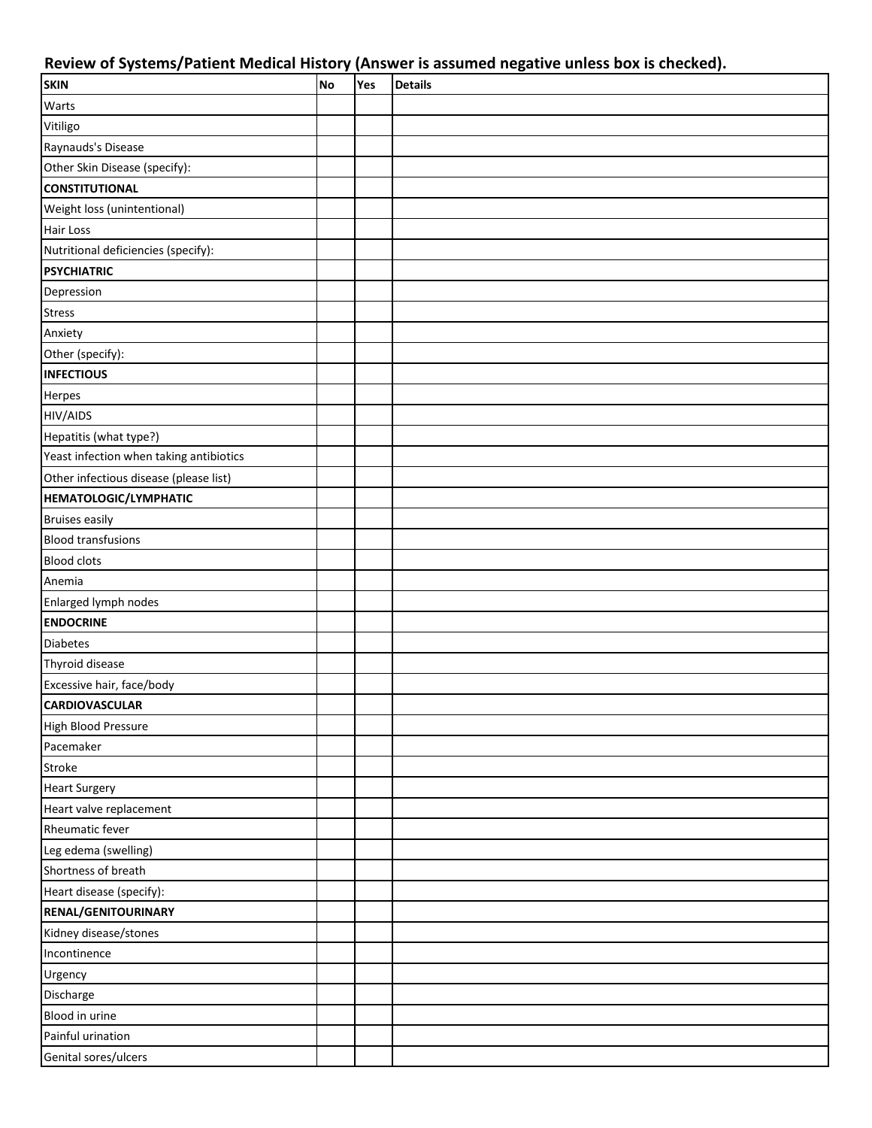## **Review of Systems/Patient Medical History (Answer is assumed negative unless box is checked).**

| <b>SKIN</b>                             | No | Yes | <b>Details</b> |
|-----------------------------------------|----|-----|----------------|
| Warts                                   |    |     |                |
| Vitiligo                                |    |     |                |
| Raynauds's Disease                      |    |     |                |
| Other Skin Disease (specify):           |    |     |                |
| <b>CONSTITUTIONAL</b>                   |    |     |                |
| Weight loss (unintentional)             |    |     |                |
| <b>Hair Loss</b>                        |    |     |                |
| Nutritional deficiencies (specify):     |    |     |                |
| <b>PSYCHIATRIC</b>                      |    |     |                |
| Depression                              |    |     |                |
| <b>Stress</b>                           |    |     |                |
| Anxiety                                 |    |     |                |
| Other (specify):                        |    |     |                |
| <b>INFECTIOUS</b>                       |    |     |                |
| Herpes                                  |    |     |                |
| <b>HIV/AIDS</b>                         |    |     |                |
| Hepatitis (what type?)                  |    |     |                |
| Yeast infection when taking antibiotics |    |     |                |
| Other infectious disease (please list)  |    |     |                |
| <b>HEMATOLOGIC/LYMPHATIC</b>            |    |     |                |
| <b>Bruises easily</b>                   |    |     |                |
| <b>Blood transfusions</b>               |    |     |                |
| <b>Blood clots</b>                      |    |     |                |
| Anemia                                  |    |     |                |
| Enlarged lymph nodes                    |    |     |                |
| <b>ENDOCRINE</b>                        |    |     |                |
| <b>Diabetes</b>                         |    |     |                |
| Thyroid disease                         |    |     |                |
| Excessive hair, face/body               |    |     |                |
| <b>CARDIOVASCULAR</b>                   |    |     |                |
| High Blood Pressure                     |    |     |                |
| Pacemaker                               |    |     |                |
| Stroke                                  |    |     |                |
| <b>Heart Surgery</b>                    |    |     |                |
| Heart valve replacement                 |    |     |                |
| Rheumatic fever                         |    |     |                |
| Leg edema (swelling)                    |    |     |                |
| Shortness of breath                     |    |     |                |
| Heart disease (specify):                |    |     |                |
| RENAL/GENITOURINARY                     |    |     |                |
| Kidney disease/stones                   |    |     |                |
| Incontinence                            |    |     |                |
| Urgency                                 |    |     |                |
| Discharge                               |    |     |                |
| Blood in urine                          |    |     |                |
| Painful urination                       |    |     |                |
| Genital sores/ulcers                    |    |     |                |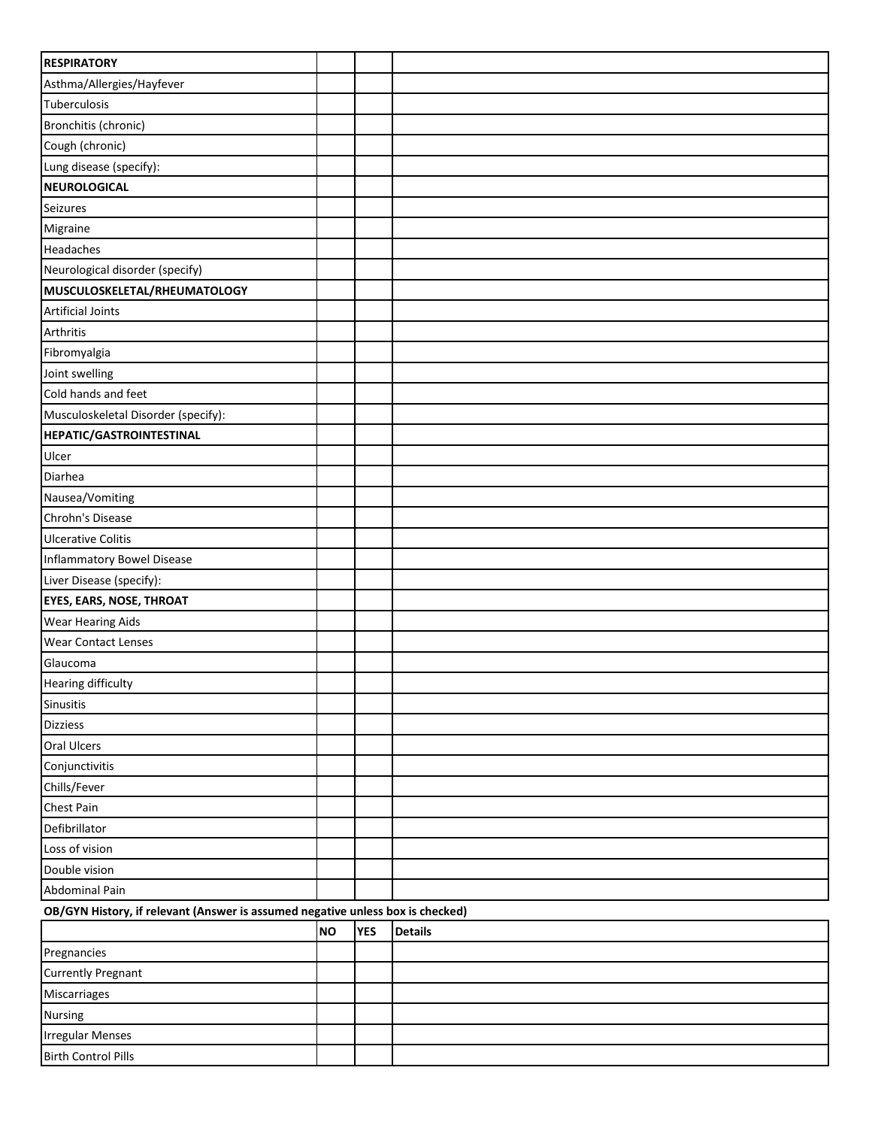| <b>RESPIRATORY</b>                                                             |           |            |                |  |  |
|--------------------------------------------------------------------------------|-----------|------------|----------------|--|--|
| Asthma/Allergies/Hayfever                                                      |           |            |                |  |  |
| Tuberculosis                                                                   |           |            |                |  |  |
| Bronchitis (chronic)                                                           |           |            |                |  |  |
| Cough (chronic)                                                                |           |            |                |  |  |
| Lung disease (specify):                                                        |           |            |                |  |  |
| <b>NEUROLOGICAL</b>                                                            |           |            |                |  |  |
| Seizures                                                                       |           |            |                |  |  |
| Migraine                                                                       |           |            |                |  |  |
| Headaches                                                                      |           |            |                |  |  |
| Neurological disorder (specify)                                                |           |            |                |  |  |
| MUSCULOSKELETAL/RHEUMATOLOGY                                                   |           |            |                |  |  |
| <b>Artificial Joints</b>                                                       |           |            |                |  |  |
| Arthritis                                                                      |           |            |                |  |  |
| Fibromyalgia                                                                   |           |            |                |  |  |
| Joint swelling                                                                 |           |            |                |  |  |
| Cold hands and feet                                                            |           |            |                |  |  |
| Musculoskeletal Disorder (specify):                                            |           |            |                |  |  |
| <b>HEPATIC/GASTROINTESTINAL</b>                                                |           |            |                |  |  |
| Ulcer                                                                          |           |            |                |  |  |
| Diarhea                                                                        |           |            |                |  |  |
| Nausea/Vomiting                                                                |           |            |                |  |  |
| Chrohn's Disease                                                               |           |            |                |  |  |
| <b>Ulcerative Colitis</b>                                                      |           |            |                |  |  |
| Inflammatory Bowel Disease                                                     |           |            |                |  |  |
| Liver Disease (specify):                                                       |           |            |                |  |  |
| <b>EYES, EARS, NOSE, THROAT</b>                                                |           |            |                |  |  |
| <b>Wear Hearing Aids</b>                                                       |           |            |                |  |  |
| <b>Wear Contact Lenses</b>                                                     |           |            |                |  |  |
| Glaucoma                                                                       |           |            |                |  |  |
| <b>Hearing difficulty</b>                                                      |           |            |                |  |  |
| <b>Sinusitis</b>                                                               |           |            |                |  |  |
| <b>Dizziess</b>                                                                |           |            |                |  |  |
| <b>Oral Ulcers</b>                                                             |           |            |                |  |  |
| Conjunctivitis                                                                 |           |            |                |  |  |
| Chills/Fever                                                                   |           |            |                |  |  |
| <b>Chest Pain</b>                                                              |           |            |                |  |  |
| Defibrillator                                                                  |           |            |                |  |  |
| Loss of vision                                                                 |           |            |                |  |  |
| Double vision                                                                  |           |            |                |  |  |
| Abdominal Pain                                                                 |           |            |                |  |  |
| OB/GYN History, if relevant (Answer is assumed negative unless box is checked) |           |            |                |  |  |
|                                                                                | <b>NO</b> | <b>YES</b> | <b>Details</b> |  |  |
| Pregnancies                                                                    |           |            |                |  |  |
| <b>Currently Pregnant</b>                                                      |           |            |                |  |  |
| Miscarriages                                                                   |           |            |                |  |  |
| <b>Nursing</b>                                                                 |           |            |                |  |  |
| <b>Irregular Menses</b>                                                        |           |            |                |  |  |
| <b>Birth Control Pills</b>                                                     |           |            |                |  |  |